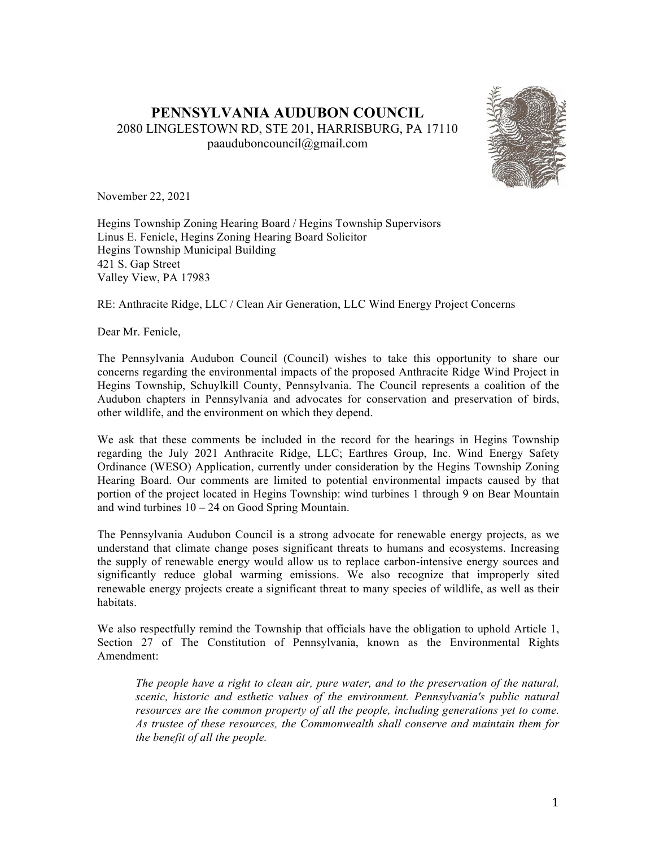# **PENNSYLVANIA AUDUBON COUNCIL** 2080 LINGLESTOWN RD, STE 201, HARRISBURG, PA 17110 paauduboncouncil@gmail.com



November 22, 2021

Hegins Township Zoning Hearing Board / Hegins Township Supervisors Linus E. Fenicle, Hegins Zoning Hearing Board Solicitor Hegins Township Municipal Building 421 S. Gap Street Valley View, PA 17983

RE: Anthracite Ridge, LLC / Clean Air Generation, LLC Wind Energy Project Concerns

Dear Mr. Fenicle,

The Pennsylvania Audubon Council (Council) wishes to take this opportunity to share our concerns regarding the environmental impacts of the proposed Anthracite Ridge Wind Project in Hegins Township, Schuylkill County, Pennsylvania. The Council represents a coalition of the Audubon chapters in Pennsylvania and advocates for conservation and preservation of birds, other wildlife, and the environment on which they depend.

We ask that these comments be included in the record for the hearings in Hegins Township regarding the July 2021 Anthracite Ridge, LLC; Earthres Group, Inc. Wind Energy Safety Ordinance (WESO) Application, currently under consideration by the Hegins Township Zoning Hearing Board. Our comments are limited to potential environmental impacts caused by that portion of the project located in Hegins Township: wind turbines 1 through 9 on Bear Mountain and wind turbines 10 – 24 on Good Spring Mountain.

The Pennsylvania Audubon Council is a strong advocate for renewable energy projects, as we understand that climate change poses significant threats to humans and ecosystems. Increasing the supply of renewable energy would allow us to replace carbon-intensive energy sources and significantly reduce global warming emissions. We also recognize that improperly sited renewable energy projects create a significant threat to many species of wildlife, as well as their habitats.

We also respectfully remind the Township that officials have the obligation to uphold Article 1, Section 27 of The Constitution of Pennsylvania, known as the Environmental Rights Amendment:

*The people have a right to clean air, pure water, and to the preservation of the natural, scenic, historic and esthetic values of the environment. Pennsylvania's public natural resources are the common property of all the people, including generations yet to come. As trustee of these resources, the Commonwealth shall conserve and maintain them for the benefit of all the people.*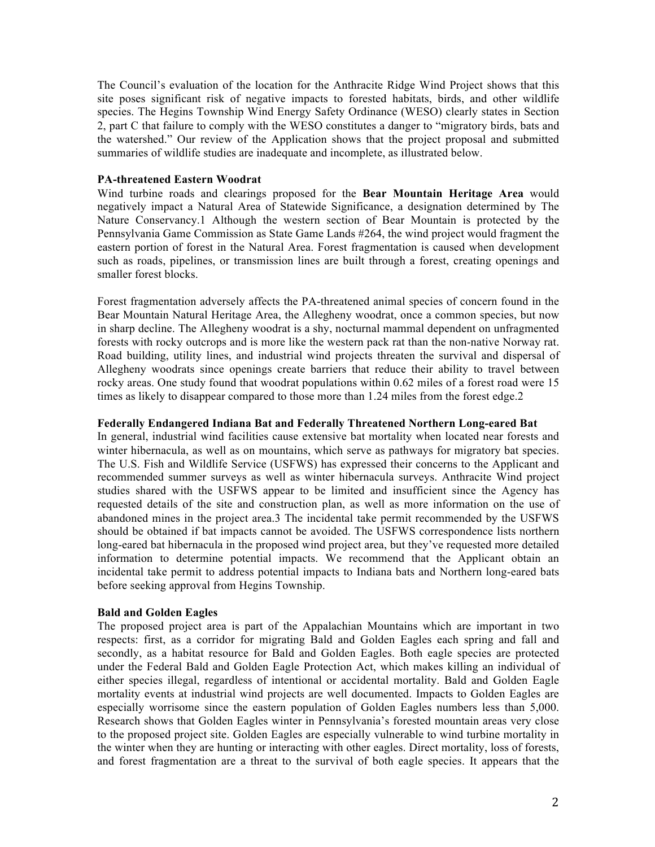The Council's evaluation of the location for the Anthracite Ridge Wind Project shows that this site poses significant risk of negative impacts to forested habitats, birds, and other wildlife species. The Hegins Township Wind Energy Safety Ordinance (WESO) clearly states in Section 2, part C that failure to comply with the WESO constitutes a danger to "migratory birds, bats and the watershed." Our review of the Application shows that the project proposal and submitted summaries of wildlife studies are inadequate and incomplete, as illustrated below.

### **PA-threatened Eastern Woodrat**

Wind turbine roads and clearings proposed for the **Bear Mountain Heritage Area** would negatively impact a Natural Area of Statewide Significance, a designation determined by The Nature Conservancy.1 Although the western section of Bear Mountain is protected by the Pennsylvania Game Commission as State Game Lands #264, the wind project would fragment the eastern portion of forest in the Natural Area. Forest fragmentation is caused when development such as roads, pipelines, or transmission lines are built through a forest, creating openings and smaller forest blocks.

Forest fragmentation adversely affects the PA-threatened animal species of concern found in the Bear Mountain Natural Heritage Area, the Allegheny woodrat, once a common species, but now in sharp decline. The Allegheny woodrat is a shy, nocturnal mammal dependent on unfragmented forests with rocky outcrops and is more like the western pack rat than the non-native Norway rat. Road building, utility lines, and industrial wind projects threaten the survival and dispersal of Allegheny woodrats since openings create barriers that reduce their ability to travel between rocky areas. One study found that woodrat populations within 0.62 miles of a forest road were 15 times as likely to disappear compared to those more than 1.24 miles from the forest edge.2

## **Federally Endangered Indiana Bat and Federally Threatened Northern Long-eared Bat**

In general, industrial wind facilities cause extensive bat mortality when located near forests and winter hibernacula, as well as on mountains, which serve as pathways for migratory bat species. The U.S. Fish and Wildlife Service (USFWS) has expressed their concerns to the Applicant and recommended summer surveys as well as winter hibernacula surveys. Anthracite Wind project studies shared with the USFWS appear to be limited and insufficient since the Agency has requested details of the site and construction plan, as well as more information on the use of abandoned mines in the project area.3 The incidental take permit recommended by the USFWS should be obtained if bat impacts cannot be avoided. The USFWS correspondence lists northern long-eared bat hibernacula in the proposed wind project area, but they've requested more detailed information to determine potential impacts. We recommend that the Applicant obtain an incidental take permit to address potential impacts to Indiana bats and Northern long-eared bats before seeking approval from Hegins Township.

## **Bald and Golden Eagles**

The proposed project area is part of the Appalachian Mountains which are important in two respects: first, as a corridor for migrating Bald and Golden Eagles each spring and fall and secondly, as a habitat resource for Bald and Golden Eagles. Both eagle species are protected under the Federal Bald and Golden Eagle Protection Act, which makes killing an individual of either species illegal, regardless of intentional or accidental mortality. Bald and Golden Eagle mortality events at industrial wind projects are well documented. Impacts to Golden Eagles are especially worrisome since the eastern population of Golden Eagles numbers less than 5,000. Research shows that Golden Eagles winter in Pennsylvania's forested mountain areas very close to the proposed project site. Golden Eagles are especially vulnerable to wind turbine mortality in the winter when they are hunting or interacting with other eagles. Direct mortality, loss of forests, and forest fragmentation are a threat to the survival of both eagle species. It appears that the